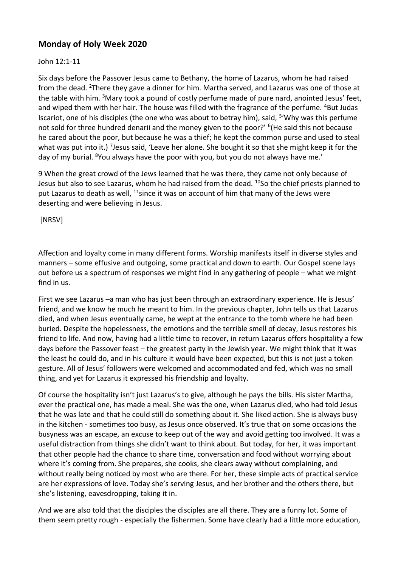## **Monday of Holy Week 2020**

## John 12:1-11

Six days before the Passover Jesus came to Bethany, the home of Lazarus, whom he had raised from the dead. <sup>2</sup>There they gave a dinner for him. Martha served, and Lazarus was one of those at the table with him. <sup>3</sup>Mary took a pound of costly perfume made of pure nard, anointed Jesus' feet, and wiped them with her hair. The house was filled with the fragrance of the perfume. <sup>4</sup>But Judas Iscariot, one of his disciples (the one who was about to betray him), said, <sup>5</sup>'Why was this perfume not sold for three hundred denarii and the money given to the poor?' <sup>6</sup>(He said this not because he cared about the poor, but because he was a thief; he kept the common purse and used to steal what was put into it.) <sup>7</sup>Jesus said, 'Leave her alone. She bought it so that she might keep it for the day of my burial. <sup>8</sup>You always have the poor with you, but you do not always have me.'

9 When the great crowd of the Jews learned that he was there, they came not only because of Jesus but also to see Lazarus, whom he had raised from the dead. <sup>10</sup>So the chief priests planned to put Lazarus to death as well,  $11$ since it was on account of him that many of the Jews were deserting and were believing in Jesus.

[NRSV]

Affection and loyalty come in many different forms. Worship manifests itself in diverse styles and manners – some effusive and outgoing, some practical and down to earth. Our Gospel scene lays out before us a spectrum of responses we might find in any gathering of people – what we might find in us.

First we see Lazarus –a man who has just been through an extraordinary experience. He is Jesus' friend, and we know he much he meant to him. In the previous chapter, John tells us that Lazarus died, and when Jesus eventually came, he wept at the entrance to the tomb where he had been buried. Despite the hopelessness, the emotions and the terrible smell of decay, Jesus restores his friend to life. And now, having had a little time to recover, in return Lazarus offers hospitality a few days before the Passover feast – the greatest party in the Jewish year. We might think that it was the least he could do, and in his culture it would have been expected, but this is not just a token gesture. All of Jesus' followers were welcomed and accommodated and fed, which was no small thing, and yet for Lazarus it expressed his friendship and loyalty.

Of course the hospitality isn't just Lazarus's to give, although he pays the bills. His sister Martha, ever the practical one, has made a meal. She was the one, when Lazarus died, who had told Jesus that he was late and that he could still do something about it. She liked action. She is always busy in the kitchen - sometimes too busy, as Jesus once observed. It's true that on some occasions the busyness was an escape, an excuse to keep out of the way and avoid getting too involved. It was a useful distraction from things she didn't want to think about. But today, for her, it was important that other people had the chance to share time, conversation and food without worrying about where it's coming from. She prepares, she cooks, she clears away without complaining, and without really being noticed by most who are there. For her, these simple acts of practical service are her expressions of love. Today she's serving Jesus, and her brother and the others there, but she's listening, eavesdropping, taking it in.

And we are also told that the disciples the disciples are all there. They are a funny lot. Some of them seem pretty rough - especially the fishermen. Some have clearly had a little more education,